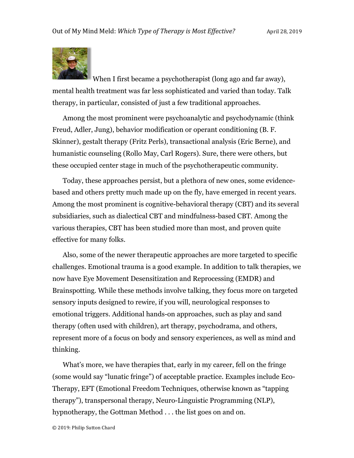

When I first became a psychotherapist (long ago and far away), mental health treatment was far less sophisticated and varied than today. Talk therapy, in particular, consisted of just a few traditional approaches.

Among the most prominent were psychoanalytic and psychodynamic (think Freud, Adler, Jung), behavior modification or operant conditioning (B. F. Skinner), gestalt therapy (Fritz Perls), transactional analysis (Eric Berne), and humanistic counseling (Rollo May, Carl Rogers). Sure, there were others, but these occupied center stage in much of the psychotherapeutic community.

Today, these approaches persist, but a plethora of new ones, some evidencebased and others pretty much made up on the fly, have emerged in recent years. Among the most prominent is cognitive-behavioral therapy (CBT) and its several subsidiaries, such as dialectical CBT and mindfulness-based CBT. Among the various therapies, CBT has been studied more than most, and proven quite effective for many folks.

Also, some of the newer therapeutic approaches are more targeted to specific challenges. Emotional trauma is a good example. In addition to talk therapies, we now have Eye Movement Desensitization and Reprocessing (EMDR) and Brainspotting. While these methods involve talking, they focus more on targeted sensory inputs designed to rewire, if you will, neurological responses to emotional triggers. Additional hands-on approaches, such as play and sand therapy (often used with children), art therapy, psychodrama, and others, represent more of a focus on body and sensory experiences, as well as mind and thinking.

What's more, we have therapies that, early in my career, fell on the fringe (some would say "lunatic fringe") of acceptable practice. Examples include Eco-Therapy, EFT (Emotional Freedom Techniques, otherwise known as "tapping therapy"), transpersonal therapy, Neuro-Linguistic Programming (NLP), hypnotherapy, the Gottman Method . . . the list goes on and on.